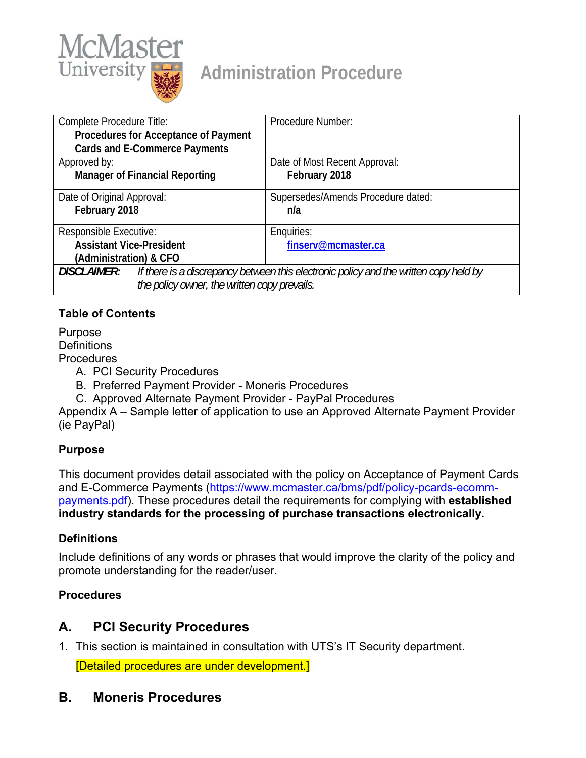

# **Administration Procedure**

| Complete Procedure Title:                                                                                   | Procedure Number:                  |
|-------------------------------------------------------------------------------------------------------------|------------------------------------|
| Procedures for Acceptance of Payment                                                                        |                                    |
| <b>Cards and E-Commerce Payments</b>                                                                        |                                    |
| Approved by:                                                                                                | Date of Most Recent Approval:      |
| <b>Manager of Financial Reporting</b>                                                                       | February 2018                      |
| Date of Original Approval:                                                                                  | Supersedes/Amends Procedure dated: |
| February 2018                                                                                               | n/a                                |
| Responsible Executive:                                                                                      | Enquiries:                         |
| <b>Assistant Vice-President</b>                                                                             | finserv@mcmaster.ca                |
| (Administration) & CFO                                                                                      |                                    |
| <b>DISCLAIMER:</b><br>If there is a discrepancy between this electronic policy and the written copy held by |                                    |
| the policy owner, the written copy prevails.                                                                |                                    |

# **Table of Contents**

Purpose **Definitions Procedures** 

- A. PCI Security Procedures
- B. Preferred Payment Provider Moneris Procedures
- C. Approved Alternate Payment Provider PayPal Procedures

Appendix A – Sample letter of application to use an Approved Alternate Payment Provider (ie PayPal)

# **Purpose**

This document provides detail associated with the policy on Acceptance of Payment Cards and E-Commerce Payments (https://www.mcmaster.ca/bms/pdf/policy-pcards-ecommpayments.pdf). These procedures detail the requirements for complying with **established industry standards for the processing of purchase transactions electronically.** 

# **Definitions**

Include definitions of any words or phrases that would improve the clarity of the policy and promote understanding for the reader/user.

# **Procedures**

# **A. PCI Security Procedures**

- 1. This section is maintained in consultation with UTS's IT Security department. [Detailed procedures are under development.]
- **B. Moneris Procedures**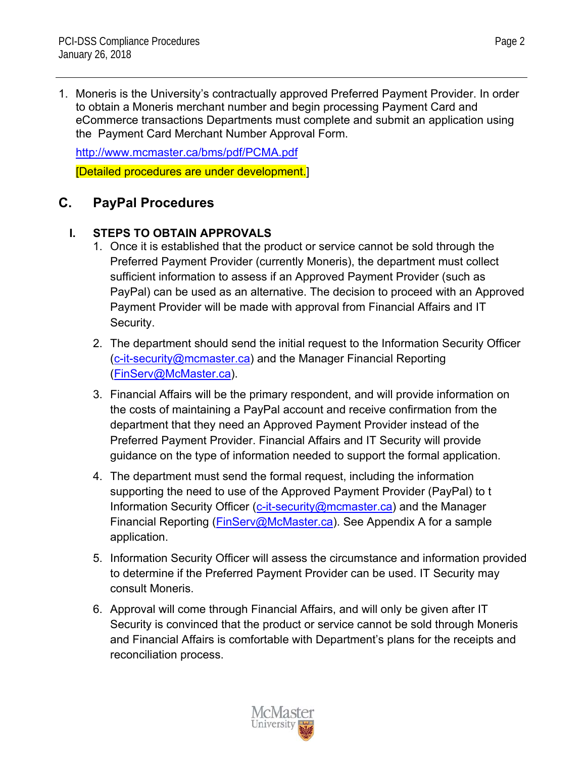1. Moneris is the University's contractually approved Preferred Payment Provider. In order to obtain a Moneris merchant number and begin processing Payment Card and eCommerce transactions Departments must complete and submit an application using the Payment Card Merchant Number Approval Form.

http://www.mcmaster.ca/bms/pdf/PCMA.pdf [Detailed procedures are under development.]

# **C. PayPal Procedures**

# **I. STEPS TO OBTAIN APPROVALS**

- 1. Once it is established that the product or service cannot be sold through the Preferred Payment Provider (currently Moneris), the department must collect sufficient information to assess if an Approved Payment Provider (such as PayPal) can be used as an alternative. The decision to proceed with an Approved Payment Provider will be made with approval from Financial Affairs and IT Security.
- 2. The department should send the initial request to the Information Security Officer (c-it-security@mcmaster.ca) and the Manager Financial Reporting (FinServ@McMaster.ca).
- 3. Financial Affairs will be the primary respondent, and will provide information on the costs of maintaining a PayPal account and receive confirmation from the department that they need an Approved Payment Provider instead of the Preferred Payment Provider. Financial Affairs and IT Security will provide guidance on the type of information needed to support the formal application.
- 4. The department must send the formal request, including the information supporting the need to use of the Approved Payment Provider (PayPal) to t Information Security Officer (c-it-security@mcmaster.ca) and the Manager Financial Reporting (FinServ@McMaster.ca). See Appendix A for a sample application.
- 5. Information Security Officer will assess the circumstance and information provided to determine if the Preferred Payment Provider can be used. IT Security may consult Moneris.
- 6. Approval will come through Financial Affairs, and will only be given after IT Security is convinced that the product or service cannot be sold through Moneris and Financial Affairs is comfortable with Department's plans for the receipts and reconciliation process.

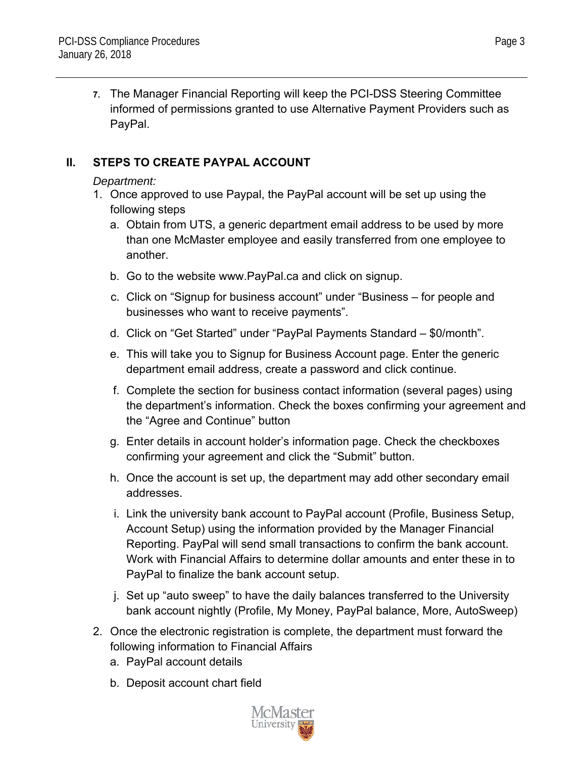**7.** The Manager Financial Reporting will keep the PCI-DSS Steering Committee informed of permissions granted to use Alternative Payment Providers such as PayPal.

# **II. STEPS TO CREATE PAYPAL ACCOUNT**

# *Department:*

- 1. Once approved to use Paypal, the PayPal account will be set up using the following steps
	- a. Obtain from UTS, a generic department email address to be used by more than one McMaster employee and easily transferred from one employee to another.
	- b. Go to the website www.PayPal.ca and click on signup.
	- c. Click on "Signup for business account" under "Business for people and businesses who want to receive payments".
	- d. Click on "Get Started" under "PayPal Payments Standard \$0/month".
	- e. This will take you to Signup for Business Account page. Enter the generic department email address, create a password and click continue.
	- f. Complete the section for business contact information (several pages) using the department's information. Check the boxes confirming your agreement and the "Agree and Continue" button
	- g. Enter details in account holder's information page. Check the checkboxes confirming your agreement and click the "Submit" button.
	- h. Once the account is set up, the department may add other secondary email addresses.
	- i. Link the university bank account to PayPal account (Profile, Business Setup, Account Setup) using the information provided by the Manager Financial Reporting. PayPal will send small transactions to confirm the bank account. Work with Financial Affairs to determine dollar amounts and enter these in to PayPal to finalize the bank account setup.
	- j. Set up "auto sweep" to have the daily balances transferred to the University bank account nightly (Profile, My Money, PayPal balance, More, AutoSweep)
- 2. Once the electronic registration is complete, the department must forward the following information to Financial Affairs
	- a. PayPal account details
	- b. Deposit account chart field



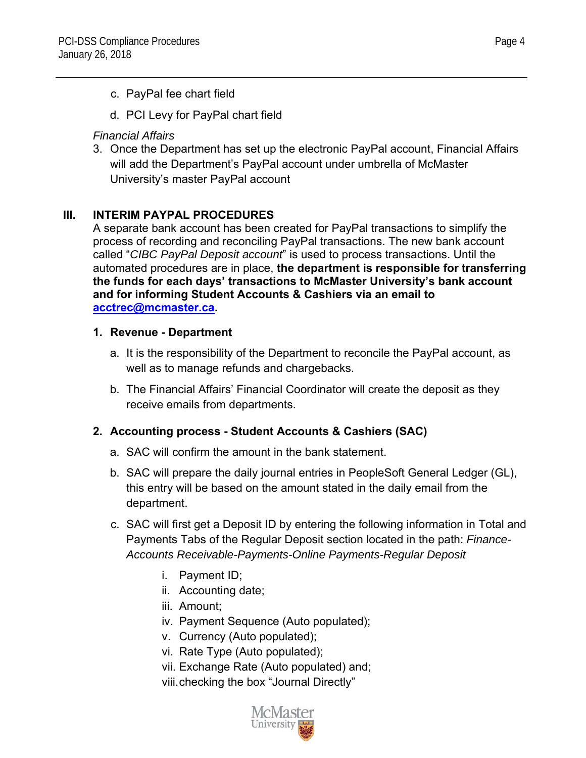- c. PayPal fee chart field
- d. PCI Levy for PayPal chart field

#### *Financial Affairs*

3. Once the Department has set up the electronic PayPal account, Financial Affairs will add the Department's PayPal account under umbrella of McMaster University's master PayPal account

# **III. INTERIM PAYPAL PROCEDURES**

A separate bank account has been created for PayPal transactions to simplify the process of recording and reconciling PayPal transactions. The new bank account called "*CIBC PayPal Deposit account*" is used to process transactions. Until the automated procedures are in place, **the department is responsible for transferring the funds for each days' transactions to McMaster University's bank account and for informing Student Accounts & Cashiers via an email to acctrec@mcmaster.ca.**

#### **1. Revenue - Department**

- a. It is the responsibility of the Department to reconcile the PayPal account, as well as to manage refunds and chargebacks.
- b. The Financial Affairs' Financial Coordinator will create the deposit as they receive emails from departments.

# **2. Accounting process - Student Accounts & Cashiers (SAC)**

- a. SAC will confirm the amount in the bank statement.
- b. SAC will prepare the daily journal entries in PeopleSoft General Ledger (GL), this entry will be based on the amount stated in the daily email from the department.
- c. SAC will first get a Deposit ID by entering the following information in Total and Payments Tabs of the Regular Deposit section located in the path: *Finance-Accounts Receivable-Payments-Online Payments-Regular Deposit*
	- i. Payment ID;
	- ii. Accounting date;
	- iii. Amount;
	- iv. Payment Sequence (Auto populated);
	- v. Currency (Auto populated);
	- vi. Rate Type (Auto populated);
	- vii. Exchange Rate (Auto populated) and;
	- viii. checking the box "Journal Directly"

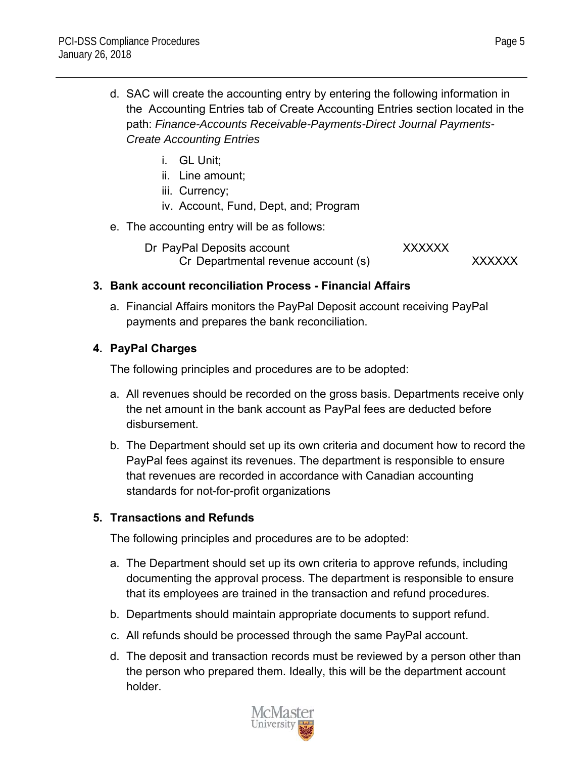- d. SAC will create the accounting entry by entering the following information in the Accounting Entries tab of Create Accounting Entries section located in the path: *Finance-Accounts Receivable-Payments-Direct Journal Payments-Create Accounting Entries*
	- i. GL Unit;
	- ii. Line amount;
	- iii. Currency;
	- iv. Account, Fund, Dept, and; Program
- e. The accounting entry will be as follows:

Dr PayPal Deposits account XXXXXXX Cr Departmental revenue account (s) XXXXXXX

#### **3. Bank account reconciliation Process - Financial Affairs**

a. Financial Affairs monitors the PayPal Deposit account receiving PayPal payments and prepares the bank reconciliation.

#### **4. PayPal Charges**

The following principles and procedures are to be adopted:

- a. All revenues should be recorded on the gross basis. Departments receive only the net amount in the bank account as PayPal fees are deducted before disbursement.
- b. The Department should set up its own criteria and document how to record the PayPal fees against its revenues. The department is responsible to ensure that revenues are recorded in accordance with Canadian accounting standards for not-for-profit organizations

# **5. Transactions and Refunds**

The following principles and procedures are to be adopted:

- a. The Department should set up its own criteria to approve refunds, including documenting the approval process. The department is responsible to ensure that its employees are trained in the transaction and refund procedures.
- b. Departments should maintain appropriate documents to support refund.
- c. All refunds should be processed through the same PayPal account.
- d. The deposit and transaction records must be reviewed by a person other than the person who prepared them. Ideally, this will be the department account holder.

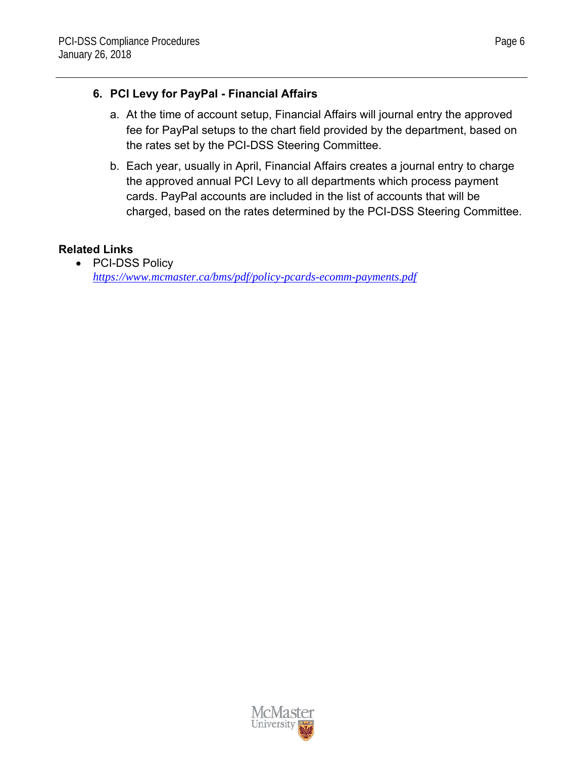# **6. PCI Levy for PayPal - Financial Affairs**

- a. At the time of account setup, Financial Affairs will journal entry the approved fee for PayPal setups to the chart field provided by the department, based on the rates set by the PCI-DSS Steering Committee.
- b. Each year, usually in April, Financial Affairs creates a journal entry to charge the approved annual PCI Levy to all departments which process payment cards. PayPal accounts are included in the list of accounts that will be charged, based on the rates determined by the PCI-DSS Steering Committee.

# **Related Links**

• PCI-DSS Policy *https://www.mcmaster.ca/bms/pdf/policy-pcards-ecomm-payments.pdf*